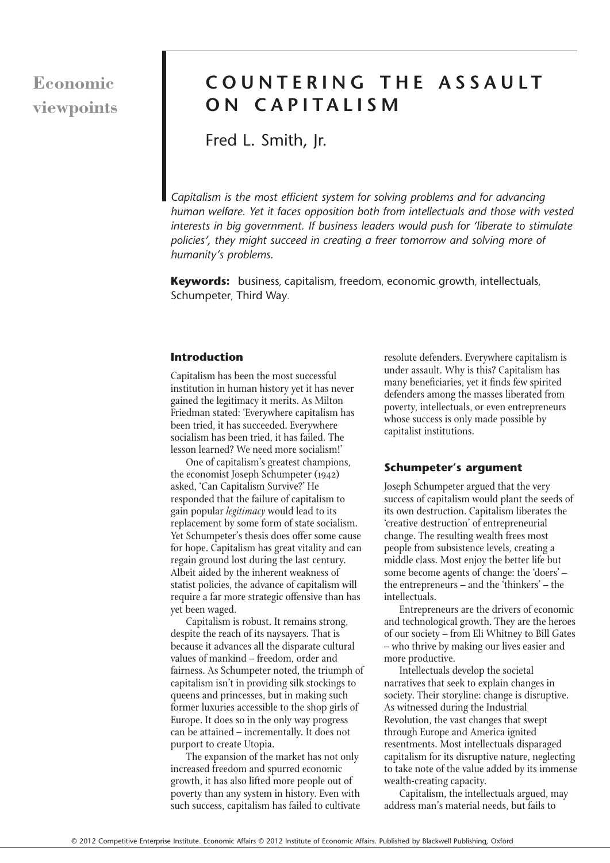# **Economic viewpoints**

# **COUNTERING THE ASSAULT ON CAPITALISM**

Fred L. Smith, Jr.

*Capitalism is the most efficient system for solving problems and for advancing human welfare. Yet it faces opposition both from intellectuals and those with vested interests in big government. If business leaders would push for 'liberate to stimulate policies', they might succeed in creating a freer tomorrow and solving more of humanity's problems.*

**Keywords:** business, capitalism, freedom, economic growth, intellectuals, Schumpeter, Third Way.

## **Introduction**

Capitalism has been the most successful institution in human history yet it has never gained the legitimacy it merits. As Milton Friedman stated: 'Everywhere capitalism has been tried, it has succeeded. Everywhere socialism has been tried, it has failed. The lesson learned? We need more socialism!'

One of capitalism's greatest champions, the economist Joseph Schumpeter (1942) asked, 'Can Capitalism Survive?' He responded that the failure of capitalism to gain popular *legitimacy* would lead to its replacement by some form of state socialism. Yet Schumpeter's thesis does offer some cause for hope. Capitalism has great vitality and can regain ground lost during the last century. Albeit aided by the inherent weakness of statist policies, the advance of capitalism will require a far more strategic offensive than has yet been waged.

Capitalism is robust. It remains strong, despite the reach of its naysayers. That is because it advances all the disparate cultural values of mankind – freedom, order and fairness. As Schumpeter noted, the triumph of capitalism isn't in providing silk stockings to queens and princesses, but in making such former luxuries accessible to the shop girls of Europe. It does so in the only way progress can be attained – incrementally. It does not purport to create Utopia.

The expansion of the market has not only increased freedom and spurred economic growth, it has also lifted more people out of poverty than any system in history. Even with such success, capitalism has failed to cultivate resolute defenders. Everywhere capitalism is under assault. Why is this? Capitalism has many beneficiaries, yet it finds few spirited defenders among the masses liberated from poverty, intellectuals, or even entrepreneurs whose success is only made possible by capitalist institutions.

### **Schumpeter's argument**

Joseph Schumpeter argued that the very success of capitalism would plant the seeds of its own destruction. Capitalism liberates the 'creative destruction' of entrepreneurial change. The resulting wealth frees most people from subsistence levels, creating a middle class. Most enjoy the better life but some become agents of change: the 'doers' – the entrepreneurs – and the 'thinkers' – the intellectuals.

Entrepreneurs are the drivers of economic and technological growth. They are the heroes of our society – from Eli Whitney to Bill Gates – who thrive by making our lives easier and more productive.

Intellectuals develop the societal narratives that seek to explain changes in society. Their storyline: change is disruptive. As witnessed during the Industrial Revolution, the vast changes that swept through Europe and America ignited resentments. Most intellectuals disparaged capitalism for its disruptive nature, neglecting to take note of the value added by its immense wealth-creating capacity.

Capitalism, the intellectuals argued, may address man's material needs, but fails to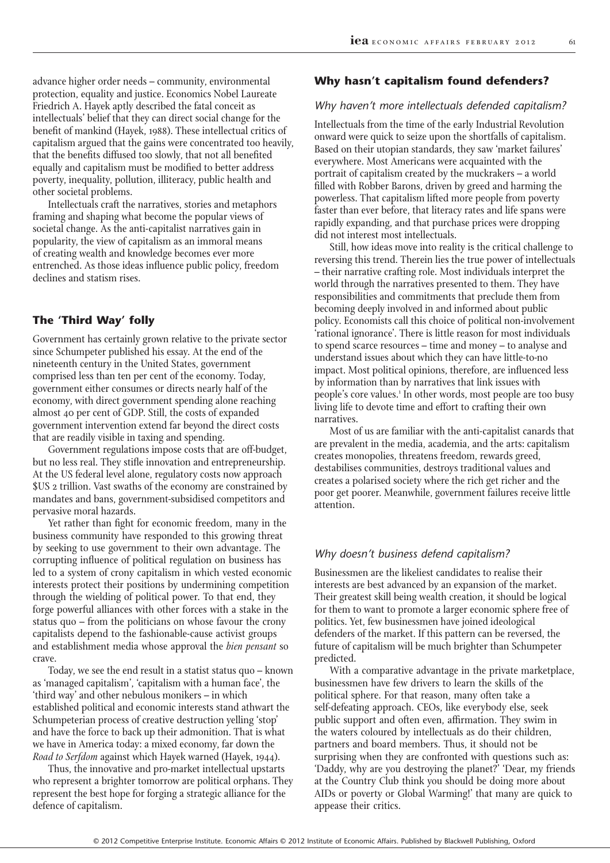advance higher order needs – community, environmental protection, equality and justice. Economics Nobel Laureate Friedrich A. Hayek aptly described the fatal conceit as intellectuals' belief that they can direct social change for the benefit of mankind (Hayek, 1988). These intellectual critics of capitalism argued that the gains were concentrated too heavily, that the benefits diffused too slowly, that not all benefited equally and capitalism must be modified to better address poverty, inequality, pollution, illiteracy, public health and other societal problems.

Intellectuals craft the narratives, stories and metaphors framing and shaping what become the popular views of societal change. As the anti-capitalist narratives gain in popularity, the view of capitalism as an immoral means of creating wealth and knowledge becomes ever more entrenched. As those ideas influence public policy, freedom declines and statism rises.

## **The 'Third Way' folly**

Government has certainly grown relative to the private sector since Schumpeter published his essay. At the end of the nineteenth century in the United States, government comprised less than ten per cent of the economy. Today, government either consumes or directs nearly half of the economy, with direct government spending alone reaching almost 40 per cent of GDP. Still, the costs of expanded government intervention extend far beyond the direct costs that are readily visible in taxing and spending.

Government regulations impose costs that are off-budget, but no less real. They stifle innovation and entrepreneurship. At the US federal level alone, regulatory costs now approach \$US 2 trillion. Vast swaths of the economy are constrained by mandates and bans, government-subsidised competitors and pervasive moral hazards.

Yet rather than fight for economic freedom, many in the business community have responded to this growing threat by seeking to use government to their own advantage. The corrupting influence of political regulation on business has led to a system of crony capitalism in which vested economic interests protect their positions by undermining competition through the wielding of political power. To that end, they forge powerful alliances with other forces with a stake in the status quo – from the politicians on whose favour the crony capitalists depend to the fashionable-cause activist groups and establishment media whose approval the *bien pensant* so crave.

Today, we see the end result in a statist status quo – known as 'managed capitalism', 'capitalism with a human face', the 'third way' and other nebulous monikers – in which established political and economic interests stand athwart the Schumpeterian process of creative destruction yelling 'stop' and have the force to back up their admonition. That is what we have in America today: a mixed economy, far down the *Road to Serfdom* against which Hayek warned (Hayek, 1944).

Thus, the innovative and pro-market intellectual upstarts who represent a brighter tomorrow are political orphans. They represent the best hope for forging a strategic alliance for the defence of capitalism.

#### **Why hasn't capitalism found defenders?**

### *Why haven't more intellectuals defended capitalism?*

Intellectuals from the time of the early Industrial Revolution onward were quick to seize upon the shortfalls of capitalism. Based on their utopian standards, they saw 'market failures' everywhere. Most Americans were acquainted with the portrait of capitalism created by the muckrakers – a world filled with Robber Barons, driven by greed and harming the powerless. That capitalism lifted more people from poverty faster than ever before, that literacy rates and life spans were rapidly expanding, and that purchase prices were dropping did not interest most intellectuals.

Still, how ideas move into reality is the critical challenge to reversing this trend. Therein lies the true power of intellectuals – their narrative crafting role. Most individuals interpret the world through the narratives presented to them. They have responsibilities and commitments that preclude them from becoming deeply involved in and informed about public policy. Economists call this choice of political non-involvement 'rational ignorance'. There is little reason for most individuals to spend scarce resources – time and money – to analyse and understand issues about which they can have little-to-no impact. Most political opinions, therefore, are influenced less by information than by narratives that link issues with people's core values.<sup>1</sup> In other words, most people are too busy living life to devote time and effort to crafting their own narratives.

Most of us are familiar with the anti-capitalist canards that are prevalent in the media, academia, and the arts: capitalism creates monopolies, threatens freedom, rewards greed, destabilises communities, destroys traditional values and creates a polarised society where the rich get richer and the poor get poorer. Meanwhile, government failures receive little attention.

#### *Why doesn't business defend capitalism?*

Businessmen are the likeliest candidates to realise their interests are best advanced by an expansion of the market. Their greatest skill being wealth creation, it should be logical for them to want to promote a larger economic sphere free of politics. Yet, few businessmen have joined ideological defenders of the market. If this pattern can be reversed, the future of capitalism will be much brighter than Schumpeter predicted.

With a comparative advantage in the private marketplace, businessmen have few drivers to learn the skills of the political sphere. For that reason, many often take a self-defeating approach. CEOs, like everybody else, seek public support and often even, affirmation. They swim in the waters coloured by intellectuals as do their children, partners and board members. Thus, it should not be surprising when they are confronted with questions such as: 'Daddy, why are you destroying the planet?' 'Dear, my friends at the Country Club think you should be doing more about AIDs or poverty or Global Warming!' that many are quick to appease their critics.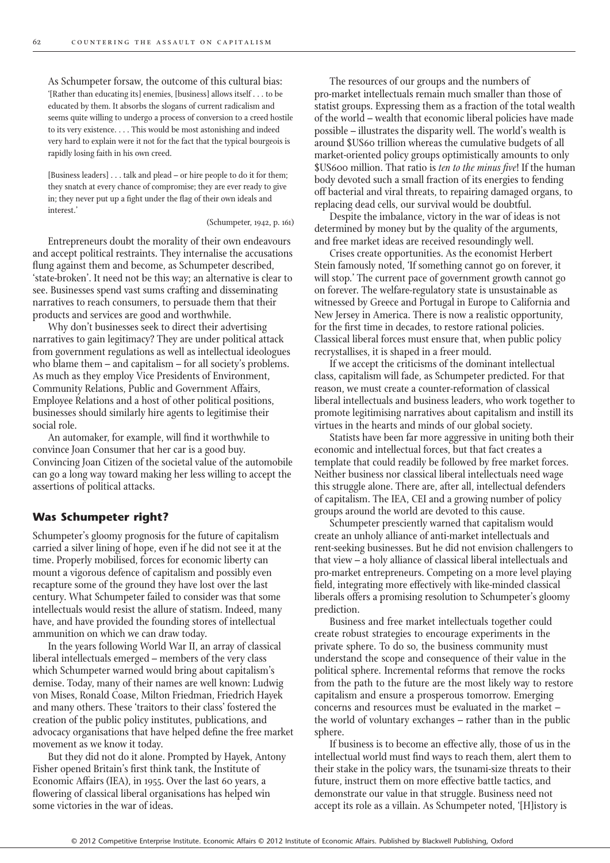As Schumpeter forsaw, the outcome of this cultural bias: '[Rather than educating its] enemies, [business] allows itself . . . to be educated by them. It absorbs the slogans of current radicalism and seems quite willing to undergo a process of conversion to a creed hostile to its very existence.... This would be most astonishing and indeed very hard to explain were it not for the fact that the typical bourgeois is rapidly losing faith in his own creed.

[Business leaders]... talk and plead – or hire people to do it for them; they snatch at every chance of compromise; they are ever ready to give in; they never put up a fight under the flag of their own ideals and interest.'

(Schumpeter, 1942, p. 161)

Entrepreneurs doubt the morality of their own endeavours and accept political restraints. They internalise the accusations flung against them and become, as Schumpeter described, 'state-broken'. It need not be this way; an alternative is clear to see. Businesses spend vast sums crafting and disseminating narratives to reach consumers, to persuade them that their products and services are good and worthwhile.

Why don't businesses seek to direct their advertising narratives to gain legitimacy? They are under political attack from government regulations as well as intellectual ideologues who blame them – and capitalism – for all society's problems. As much as they employ Vice Presidents of Environment, Community Relations, Public and Government Affairs, Employee Relations and a host of other political positions, businesses should similarly hire agents to legitimise their social role.

An automaker, for example, will find it worthwhile to convince Joan Consumer that her car is a good buy. Convincing Joan Citizen of the societal value of the automobile can go a long way toward making her less willing to accept the assertions of political attacks.

#### **Was Schumpeter right?**

Schumpeter's gloomy prognosis for the future of capitalism carried a silver lining of hope, even if he did not see it at the time. Properly mobilised, forces for economic liberty can mount a vigorous defence of capitalism and possibly even recapture some of the ground they have lost over the last century. What Schumpeter failed to consider was that some intellectuals would resist the allure of statism. Indeed, many have, and have provided the founding stores of intellectual ammunition on which we can draw today.

In the years following World War II, an array of classical liberal intellectuals emerged – members of the very class which Schumpeter warned would bring about capitalism's demise. Today, many of their names are well known: Ludwig von Mises, Ronald Coase, Milton Friedman, Friedrich Hayek and many others. These 'traitors to their class' fostered the creation of the public policy institutes, publications, and advocacy organisations that have helped define the free market movement as we know it today.

But they did not do it alone. Prompted by Hayek, Antony Fisher opened Britain's first think tank, the Institute of Economic Affairs (IEA), in 1955. Over the last 60 years, a flowering of classical liberal organisations has helped win some victories in the war of ideas.

The resources of our groups and the numbers of pro-market intellectuals remain much smaller than those of statist groups. Expressing them as a fraction of the total wealth of the world – wealth that economic liberal policies have made possible – illustrates the disparity well. The world's wealth is around \$US60 trillion whereas the cumulative budgets of all market-oriented policy groups optimistically amounts to only \$US600 million. That ratio is *ten to the minus five*! If the human body devoted such a small fraction of its energies to fending off bacterial and viral threats, to repairing damaged organs, to replacing dead cells, our survival would be doubtful.

Despite the imbalance, victory in the war of ideas is not determined by money but by the quality of the arguments, and free market ideas are received resoundingly well.

Crises create opportunities. As the economist Herbert Stein famously noted, 'If something cannot go on forever, it will stop.' The current pace of government growth cannot go on forever. The welfare-regulatory state is unsustainable as witnessed by Greece and Portugal in Europe to California and New Jersey in America. There is now a realistic opportunity, for the first time in decades, to restore rational policies. Classical liberal forces must ensure that, when public policy recrystallises, it is shaped in a freer mould.

If we accept the criticisms of the dominant intellectual class, capitalism will fade, as Schumpeter predicted. For that reason, we must create a counter-reformation of classical liberal intellectuals and business leaders, who work together to promote legitimising narratives about capitalism and instill its virtues in the hearts and minds of our global society.

Statists have been far more aggressive in uniting both their economic and intellectual forces, but that fact creates a template that could readily be followed by free market forces. Neither business nor classical liberal intellectuals need wage this struggle alone. There are, after all, intellectual defenders of capitalism. The IEA, CEI and a growing number of policy groups around the world are devoted to this cause.

Schumpeter presciently warned that capitalism would create an unholy alliance of anti-market intellectuals and rent-seeking businesses. But he did not envision challengers to that view – a holy alliance of classical liberal intellectuals and pro-market entrepreneurs. Competing on a more level playing field, integrating more effectively with like-minded classical liberals offers a promising resolution to Schumpeter's gloomy prediction.

Business and free market intellectuals together could create robust strategies to encourage experiments in the private sphere. To do so, the business community must understand the scope and consequence of their value in the political sphere. Incremental reforms that remove the rocks from the path to the future are the most likely way to restore capitalism and ensure a prosperous tomorrow. Emerging concerns and resources must be evaluated in the market – the world of voluntary exchanges – rather than in the public sphere.

If business is to become an effective ally, those of us in the intellectual world must find ways to reach them, alert them to their stake in the policy wars, the tsunami-size threats to their future, instruct them on more effective battle tactics, and demonstrate our value in that struggle. Business need not accept its role as a villain. As Schumpeter noted, '[H]istory is